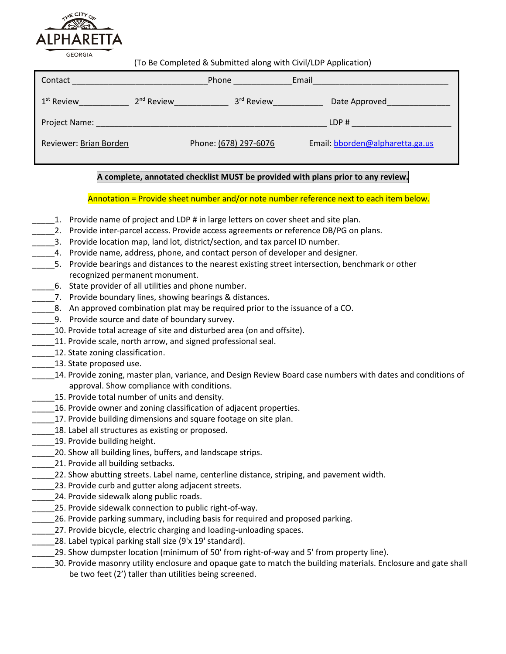

(To Be Completed & Submitted along with Civil/LDP Application)

| Contact                | Phone        |                        | Email |                                 |
|------------------------|--------------|------------------------|-------|---------------------------------|
| $1st$ Review           | $2nd$ Review | 3 <sup>rd</sup> Review |       | Date Approved                   |
| Project Name:          |              |                        |       | LDP#                            |
| Reviewer: Brian Borden |              | Phone: (678) 297-6076  |       | Email: bborden@alpharetta.ga.us |

## **A complete, annotated checklist MUST be provided with plans prior to any review.**

Annotation = Provide sheet number and/or note number reference next to each item below.

- 1. Provide name of project and LDP # in large letters on cover sheet and site plan.
- 2. Provide inter-parcel access. Provide access agreements or reference DB/PG on plans.
- 3. Provide location map, land lot, district/section, and tax parcel ID number.
- \_\_\_\_\_4. Provide name, address, phone, and contact person of developer and designer.
- \_\_\_\_\_5. Provide bearings and distances to the nearest existing street intersection, benchmark or other recognized permanent monument.
- \_\_\_\_\_6. State provider of all utilities and phone number.
- 7. Provide boundary lines, showing bearings & distances.
- \_\_\_\_\_8. An approved combination plat may be required prior to the issuance of a CO.
- 9. Provide source and date of boundary survey.
- \_\_\_\_\_10. Provide total acreage of site and disturbed area (on and offsite).
- 11. Provide scale, north arrow, and signed professional seal.
- \_\_\_\_\_12. State zoning classification.
- 13. State proposed use.
- \_\_\_\_\_14. Provide zoning, master plan, variance, and Design Review Board case numbers with dates and conditions of approval. Show compliance with conditions.
- 15. Provide total number of units and density.
- \_\_\_\_\_16. Provide owner and zoning classification of adjacent properties.
- 17. Provide building dimensions and square footage on site plan.
- 18. Label all structures as existing or proposed.
- 19. Provide building height.
- \_\_\_\_\_20. Show all building lines, buffers, and landscape strips.
- \_21. Provide all building setbacks.
- \_\_\_\_\_22. Show abutting streets. Label name, centerline distance, striping, and pavement width.
- 23. Provide curb and gutter along adjacent streets.
- 24. Provide sidewalk along public roads.
- \_\_\_\_\_25. Provide sidewalk connection to public right-of-way.
- \_\_\_\_\_26. Provide parking summary, including basis for required and proposed parking.
- 27. Provide bicycle, electric charging and loading-unloading spaces.
- 28. Label typical parking stall size (9'x 19' standard).
- \_\_\_\_\_29. Show dumpster location (minimum of 50' from right-of-way and 5' from property line).
- \_\_\_\_\_30. Provide masonry utility enclosure and opaque gate to match the building materials. Enclosure and gate shall be two feet (2') taller than utilities being screened.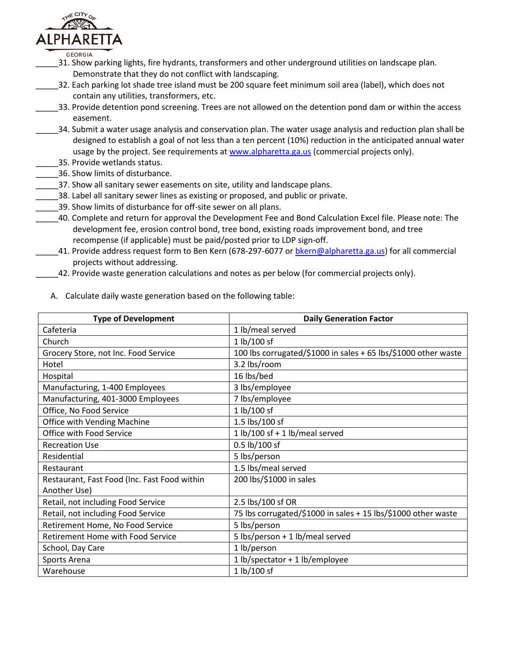

**GEORGIA** 

- \_\_\_\_\_31. Show parking lights, fire hydrants, transformers and other underground utilities on landscape plan. Demonstrate that they do not conflict with landscaping.
- \_\_\_\_\_32. Each parking lot shade tree island must be 200 square feet minimum soil area (label), which does not contain any utilities, transformers, etc.
- \_\_\_\_\_33. Provide detention pond screening. Trees are not allowed on the detention pond dam or within the access easement.
- 34. Submit a water usage analysis and conservation plan. The water usage analysis and reduction plan shall be designed to establish a goal of not less than a ten percent (10%) reduction in the anticipated annual water usage by the project. See requirements a[t www.alpharetta.ga.us](http://www.alpharetta.ga.us/) (commercial projects only).
- \_\_\_\_\_35. Provide wetlands status.
- \_\_\_\_\_36. Show limits of disturbance.
- 37. Show all sanitary sewer easements on site, utility and landscape plans.
- \_\_\_\_\_38. Label all sanitary sewer lines as existing or proposed, and public or private.
- \_\_\_\_\_39. Show limits of disturbance for off-site sewer on all plans.
- \_\_\_\_\_40. Complete and return for approval the Development Fee and Bond Calculation Excel file. Please note: The development fee, erosion control bond, tree bond, existing roads improvement bond, and tree recompense (if applicable) must be paid/posted prior to LDP sign-off.
	- \_\_\_\_\_41. Provide address request form to Ben Kern (678-297-6077 or [bkern@alpharetta.ga.us\)](mailto:bkern@alpharetta.ga.us) for all commercial projects without addressing.
	- \_42. Provide waste generation calculations and notes as per below (for commercial projects only).

| <b>Type of Development</b>                   | <b>Daily Generation Factor</b>                                 |  |  |
|----------------------------------------------|----------------------------------------------------------------|--|--|
| Cafeteria                                    | 1 lb/meal served                                               |  |  |
| Church                                       | 1 lb/100 sf                                                    |  |  |
| Grocery Store, not Inc. Food Service         | 100 lbs corrugated/\$1000 in sales + 65 lbs/\$1000 other waste |  |  |
| Hotel                                        | 3.2 lbs/room                                                   |  |  |
| Hospital                                     | 16 lbs/bed                                                     |  |  |
| Manufacturing, 1-400 Employees               | 3 lbs/employee                                                 |  |  |
| Manufacturing, 401-3000 Employees            | 7 lbs/employee                                                 |  |  |
| Office, No Food Service                      | 1 lb/100 sf                                                    |  |  |
| Office with Vending Machine                  | 1.5 lbs/100 sf                                                 |  |  |
| Office with Food Service                     | 1 lb/100 sf + 1 lb/meal served                                 |  |  |
| <b>Recreation Use</b>                        | 0.5 lb/100 sf                                                  |  |  |
| Residential                                  | 5 lbs/person                                                   |  |  |
| Restaurant                                   | 1.5 lbs/meal served                                            |  |  |
| Restaurant, Fast Food (Inc. Fast Food within | 200 lbs/\$1000 in sales                                        |  |  |
| Another Use)                                 |                                                                |  |  |
| Retail, not including Food Service           | 2.5 lbs/100 sf OR                                              |  |  |
| Retail, not including Food Service           | 75 lbs corrugated/\$1000 in sales + 15 lbs/\$1000 other waste  |  |  |
| Retirement Home, No Food Service             | 5 lbs/person                                                   |  |  |
| Retirement Home with Food Service            | 5 lbs/person + 1 lb/meal served                                |  |  |
| School, Day Care                             | 1 lb/person                                                    |  |  |
| Sports Arena                                 | 1 lb/spectator + 1 lb/employee                                 |  |  |
| Warehouse                                    | 1 lb/100 sf                                                    |  |  |

A. Calculate daily waste generation based on the following table: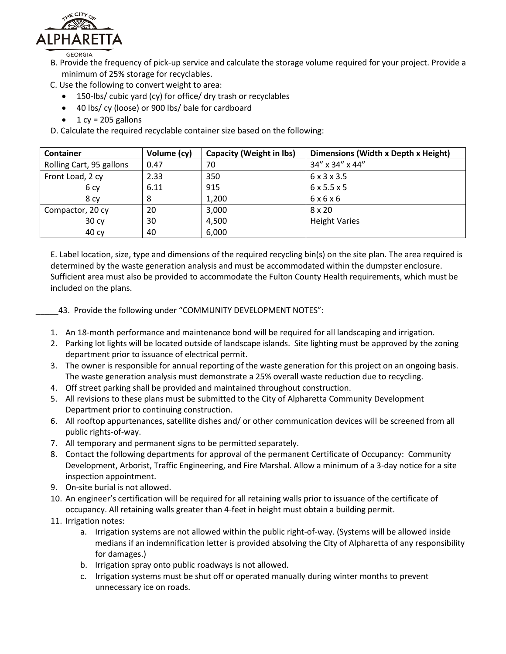

B. Provide the frequency of pick-up service and calculate the storage volume required for your project. Provide a minimum of 25% storage for recyclables.

- C. Use the following to convert weight to area:
	- 150-lbs/ cubic yard (cy) for office/ dry trash or recyclables
	- 40 lbs/ cy (loose) or 900 lbs/ bale for cardboard
	- $\bullet$  1 cy = 205 gallons
- D. Calculate the required recyclable container size based on the following:

| <b>Container</b>         | Volume (cy) | <b>Capacity (Weight in lbs)</b> | Dimensions (Width x Depth x Height) |
|--------------------------|-------------|---------------------------------|-------------------------------------|
| Rolling Cart, 95 gallons | 0.47        | 70                              | 34" x 34" x 44"                     |
| Front Load, 2 cy         | 2.33        | 350                             | 6 x 3 x 3.5                         |
| 6 cy                     | 6.11        | 915                             | 6x5.5x5                             |
| 8 cy                     | 8           | 1,200                           | 6x6x6                               |
| Compactor, 20 cy         | 20          | 3,000                           | 8 x 20                              |
| 30 cy                    | 30          | 4,500                           | <b>Height Varies</b>                |
| 40 cy                    | 40          | 6,000                           |                                     |

E. Label location, size, type and dimensions of the required recycling bin(s) on the site plan. The area required is determined by the waste generation analysis and must be accommodated within the dumpster enclosure. Sufficient area must also be provided to accommodate the Fulton County Health requirements, which must be included on the plans.

- 43. Provide the following under "COMMUNITY DEVELOPMENT NOTES":
- 1. An 18-month performance and maintenance bond will be required for all landscaping and irrigation.
- 2. Parking lot lights will be located outside of landscape islands. Site lighting must be approved by the zoning department prior to issuance of electrical permit.
- 3. The owner is responsible for annual reporting of the waste generation for this project on an ongoing basis. The waste generation analysis must demonstrate a 25% overall waste reduction due to recycling.
- 4. Off street parking shall be provided and maintained throughout construction.
- 5. All revisions to these plans must be submitted to the City of Alpharetta Community Development Department prior to continuing construction.
- 6. All rooftop appurtenances, satellite dishes and/ or other communication devices will be screened from all public rights-of-way.
- 7. All temporary and permanent signs to be permitted separately.
- 8. Contact the following departments for approval of the permanent Certificate of Occupancy: Community Development, Arborist, Traffic Engineering, and Fire Marshal. Allow a minimum of a 3-day notice for a site inspection appointment.
- 9. On-site burial is not allowed.
- 10. An engineer's certification will be required for all retaining walls prior to issuance of the certificate of occupancy. All retaining walls greater than 4-feet in height must obtain a building permit.
- 11. Irrigation notes:
	- a. Irrigation systems are not allowed within the public right-of-way. (Systems will be allowed inside medians if an indemnification letter is provided absolving the City of Alpharetta of any responsibility for damages.)
	- b. Irrigation spray onto public roadways is not allowed.
	- c. Irrigation systems must be shut off or operated manually during winter months to prevent unnecessary ice on roads.